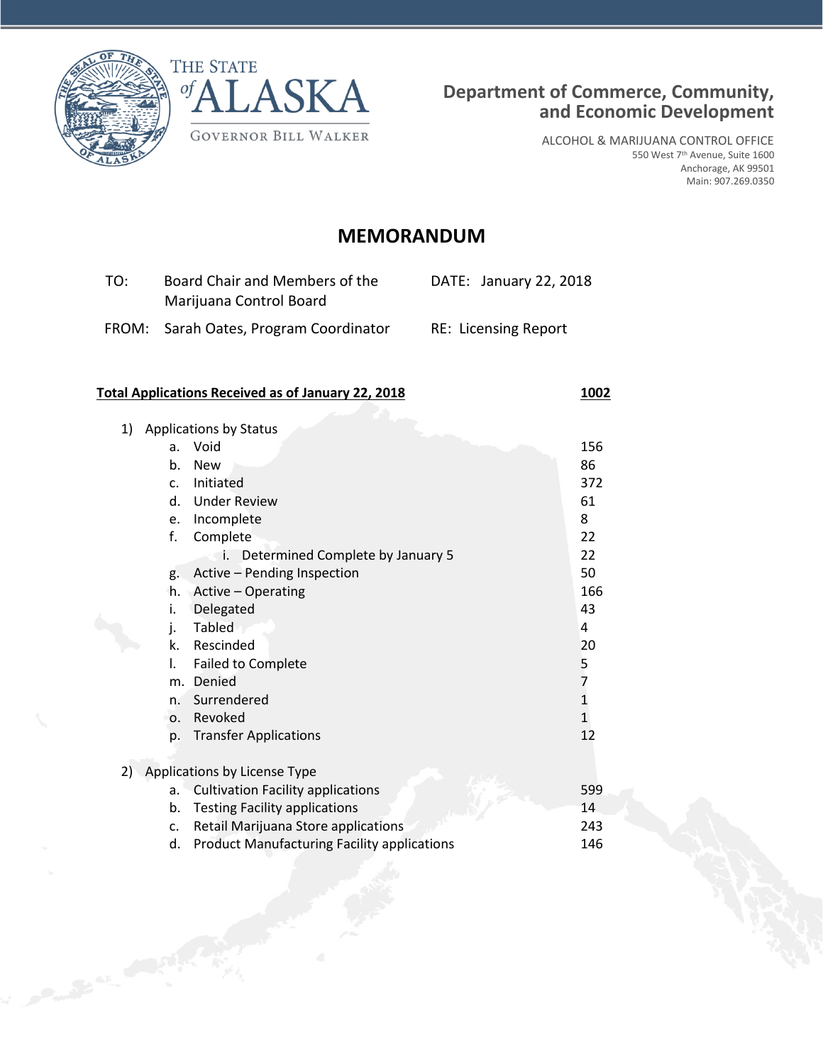

Company of Contract of Con-



ALCOHOL & MARIJUANA CONTROL OFFICE 550 West 7th Avenue, Suite 1600 Anchorage, AK 99501 Main: 907.269.0350

# **MEMORANDUM**

| TO: | Board Chair and Members of the<br>Marijuana Control Board | DATE: January 22, 2018      |
|-----|-----------------------------------------------------------|-----------------------------|
|     | FROM: Sarah Oates, Program Coordinator                    | <b>RE: Licensing Report</b> |

## **Total Applications Received as of January 22, 2018 1002**

| 1) | <b>Applications by Status</b> |                                                    |                  |  |  |
|----|-------------------------------|----------------------------------------------------|------------------|--|--|
|    | a.                            | Void                                               | 156              |  |  |
|    | b.                            | <b>New</b>                                         | 86               |  |  |
|    | C.                            | Initiated                                          | 372              |  |  |
|    | d.                            | <b>Under Review</b>                                | 61               |  |  |
|    | e.                            | Incomplete                                         | 8                |  |  |
|    | f.                            | Complete                                           | 22               |  |  |
|    |                               | Determined Complete by January 5<br>i.             | 22               |  |  |
|    | g.                            | Active - Pending Inspection                        | 50               |  |  |
|    | h.                            | Active - Operating                                 | 166              |  |  |
|    | i.                            | Delegated                                          | 43               |  |  |
|    | j.                            | <b>Tabled</b>                                      | 4                |  |  |
|    | k.                            | Rescinded                                          | 20               |  |  |
|    | I.                            | <b>Failed to Complete</b>                          |                  |  |  |
|    | m.                            | Denied                                             |                  |  |  |
|    | n.                            | Surrendered                                        | 5<br>7<br>1<br>1 |  |  |
|    | 0.                            | Revoked                                            |                  |  |  |
|    | p.                            | <b>Transfer Applications</b>                       | 12               |  |  |
|    |                               |                                                    |                  |  |  |
| 2) |                               | Applications by License Type                       |                  |  |  |
|    | a.                            | <b>Cultivation Facility applications</b>           | 599              |  |  |
|    | b.                            | <b>Testing Facility applications</b>               | 14               |  |  |
|    | c.                            | Retail Marijuana Store applications                | 243              |  |  |
|    | d.                            | <b>Product Manufacturing Facility applications</b> | 146              |  |  |
|    |                               |                                                    |                  |  |  |